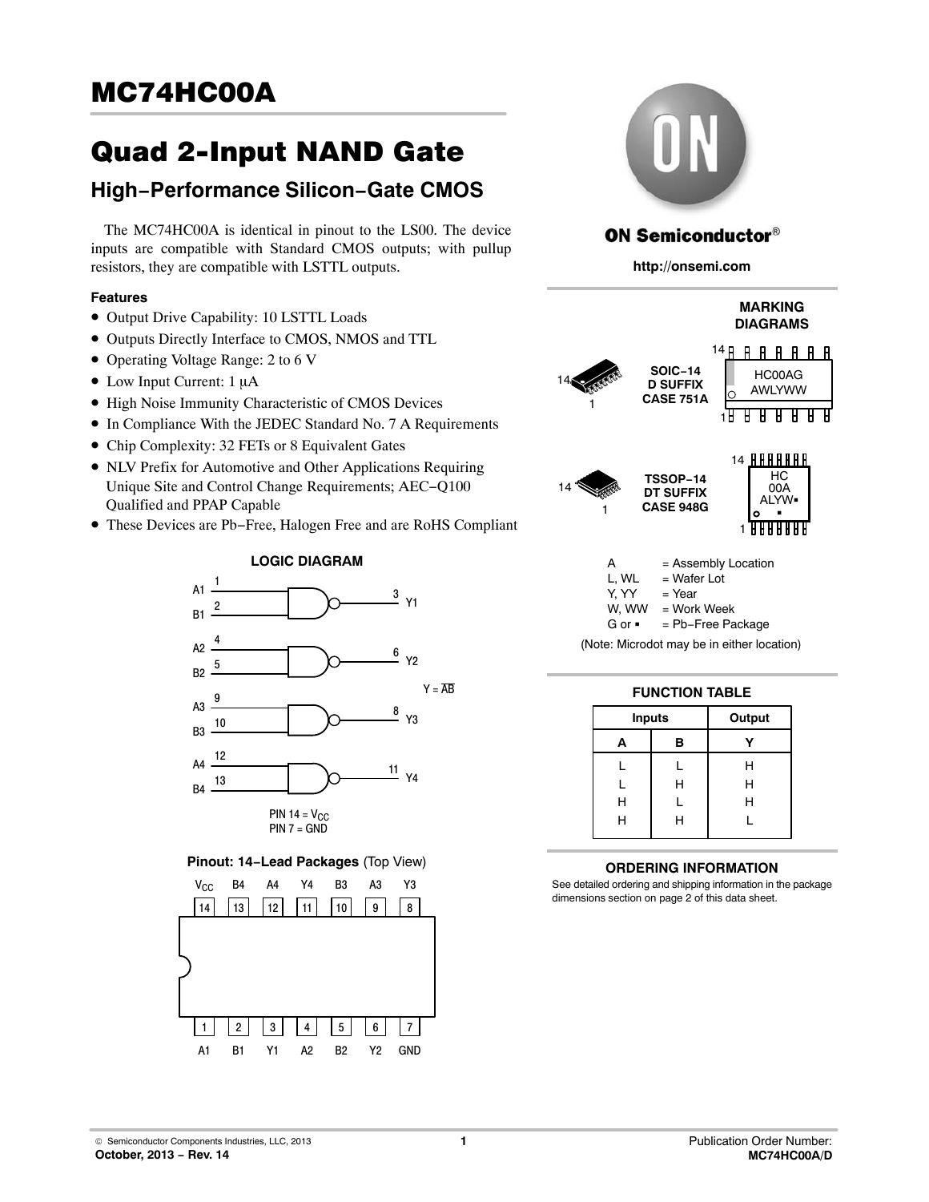# Quad 2-Input NAND Gate

# **High−Performance Silicon−Gate CMOS**

The MC74HC00A is identical in pinout to the LS00. The device inputs are compatible with Standard CMOS outputs; with pullup resistors, they are compatible with LSTTL outputs.

#### **Features**

- Output Drive Capability: 10 LSTTL Loads
- Outputs Directly Interface to CMOS, NMOS and TTL
- Operating Voltage Range: 2 to 6 V
- $\bullet$  Low Input Current: 1 µA
- High Noise Immunity Characteristic of CMOS Devices
- In Compliance With the JEDEC Standard No. 7 A Requirements
- Chip Complexity: 32 FETs or 8 Equivalent Gates
- NLV Prefix for Automotive and Other Applications Requiring Unique Site and Control Change Requirements; AEC−Q100 Qualified and PPAP Capable
- These Devices are Pb−Free, Halogen Free and are RoHS Compliant



#### **Pinout: 14−Lead Packages** (Top View)





## **ON Semiconductor®**

**http://onsemi.com**



| <b>FUNCTION TABLE</b> |               |        |  |  |  |  |
|-----------------------|---------------|--------|--|--|--|--|
|                       | <b>Inputs</b> | Output |  |  |  |  |
| А                     | в             |        |  |  |  |  |
|                       |               | н      |  |  |  |  |
| L                     | Н             | н      |  |  |  |  |
| н                     |               | н      |  |  |  |  |
| н                     | н             | L      |  |  |  |  |

#### **ORDERING INFORMATION**

See detailed ordering and shipping information in the package dimensions section on page [2](#page-1-0) of this data sheet.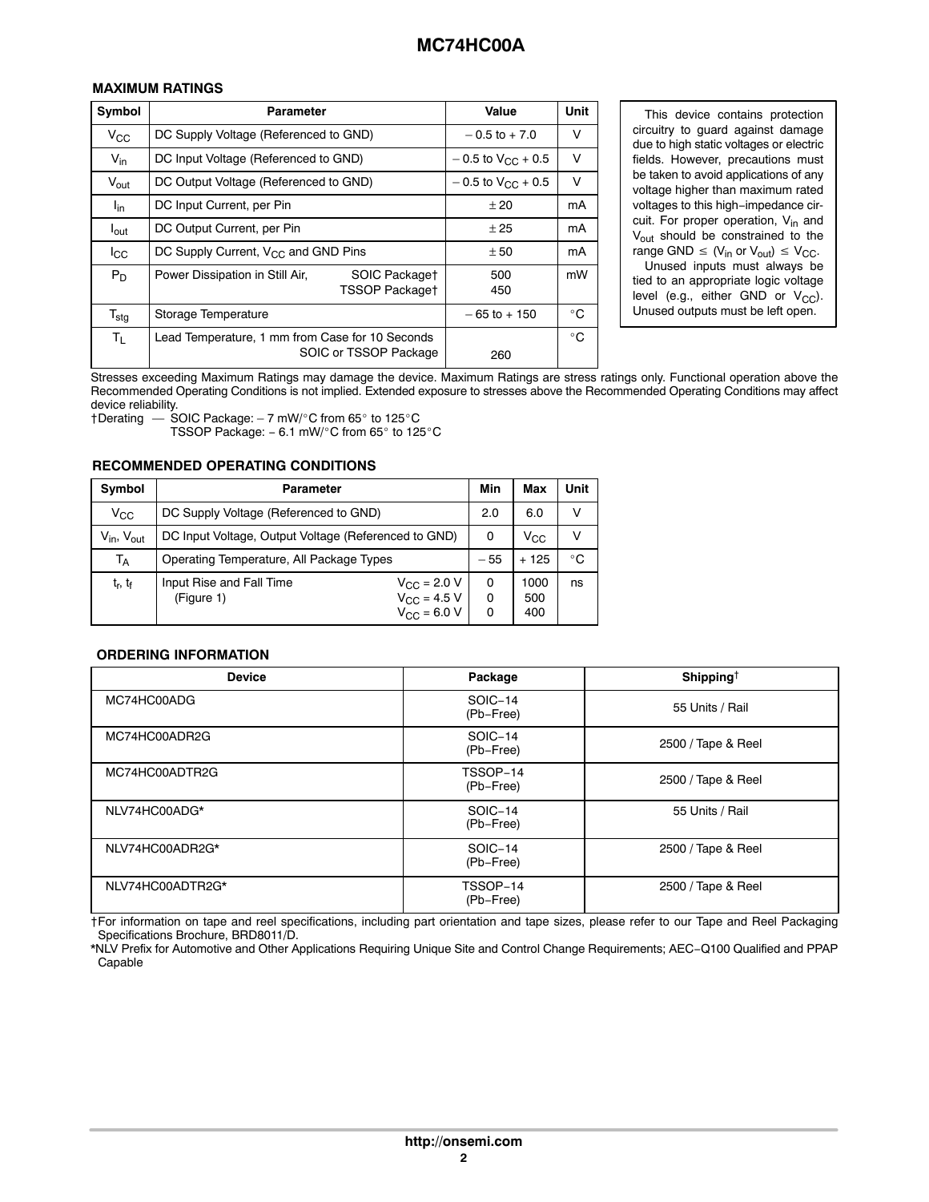<span id="page-1-0"></span>

| Symbol           | Parameter                                                                | Value                    | <b>Unit</b>  |
|------------------|--------------------------------------------------------------------------|--------------------------|--------------|
| $V_{\rm CC}$     | DC Supply Voltage (Referenced to GND)                                    | $-0.5$ to $+7.0$         |              |
| $V_{\text{in}}$  | DC Input Voltage (Referenced to GND)                                     | $-0.5$ to $V_{CC}$ + 0.5 | v            |
| V <sub>out</sub> | DC Output Voltage (Referenced to GND)                                    | $-0.5$ to $V_{CC}$ + 0.5 | $\vee$       |
| l <sub>in</sub>  | DC Input Current, per Pin                                                | ± 20                     | mA           |
| $I_{\text{out}}$ | DC Output Current, per Pin                                               | ± 25                     | mA           |
| $_{\rm lcc}$     | DC Supply Current, $V_{CC}$ and GND Pins                                 | ± 50                     | mA           |
| $P_D$            | Power Dissipation in Still Air,<br>SOIC Packaget<br>TSSOP Package†       | 500<br>450               | mW           |
| $T_{\text{stg}}$ | Storage Temperature                                                      | $-65$ to $+150$          | $^{\circ}$ C |
| Τı.              | Lead Temperature, 1 mm from Case for 10 Seconds<br>SOIC or TSSOP Package | 260                      | $^{\circ}$ C |

**EIÎÎÎÎÎÎÎÎÎÎÎÎÎÎÎÎÎÎ**<br>Stresses exceeding Maximum Ratings may damage the device. Maximum Ratings are stress ratings only. Functional operation above the Recommended Operating Conditions is not implied. Extended exposure to stresses above the Recommended Operating Conditions may affect device reliability.

 $\dagger$ Derating  $-$  SOIC Package: - 7 mW/°C from 65° to 125°C TSSOP Package: - 6.1 mW/°C from 65° to 125°C

# **RECOMMENDED OPERATING CONDITIONS**

| <b>Symbol</b>                   | <b>Parameter</b>                                     |                                              | Min   | Max          | Unit         |
|---------------------------------|------------------------------------------------------|----------------------------------------------|-------|--------------|--------------|
| $V_{\rm CC}$                    | DC Supply Voltage (Referenced to GND)                |                                              | 2.0   | 6.0          |              |
| $V_{in}$ , $V_{out}$            | DC Input Voltage, Output Voltage (Referenced to GND) |                                              | 0     | $V_{\rm CC}$ |              |
| $\mathsf{T}_\mathsf{A}$         | Operating Temperature, All Package Types             |                                              | $-55$ | 125          | $^{\circ}$ C |
| t <sub>r</sub> , t <sub>f</sub> | Input Rise and Fall Time<br>(Figure 1)               | $V_{\rm CC}$ = 2.0 V<br>$V_{\rm CC}$ = 4.5 V | 0     | 1000<br>500  | ns           |
|                                 |                                                      | $V_{\rm CC}$ = 6.0 V                         |       | 400          |              |

#### **ORDERING INFORMATION**

| <b>Device</b>    | Package               | Shipping <sup>†</sup> |
|------------------|-----------------------|-----------------------|
| MC74HC00ADG      | SOIC-14<br>(Pb-Free)  | 55 Units / Rail       |
| MC74HC00ADR2G    | SOIC-14<br>(Pb-Free)  | 2500 / Tape & Reel    |
| MC74HC00ADTR2G   | TSSOP-14<br>(Pb-Free) | 2500 / Tape & Reel    |
| NLV74HC00ADG*    | SOIC-14<br>(Pb-Free)  | 55 Units / Rail       |
| NLV74HC00ADR2G*  | SOIC-14<br>(Pb-Free)  | 2500 / Tape & Reel    |
| NLV74HC00ADTR2G* | TSSOP-14<br>(Pb-Free) | 2500 / Tape & Reel    |

†For information on tape and reel specifications, including part orientation and tape sizes, please refer to our Tape and Reel Packaging Specifications Brochure, BRD8011/D.

\*NLV Prefix for Automotive and Other Applications Requiring Unique Site and Control Change Requirements; AEC−Q100 Qualified and PPAP Capable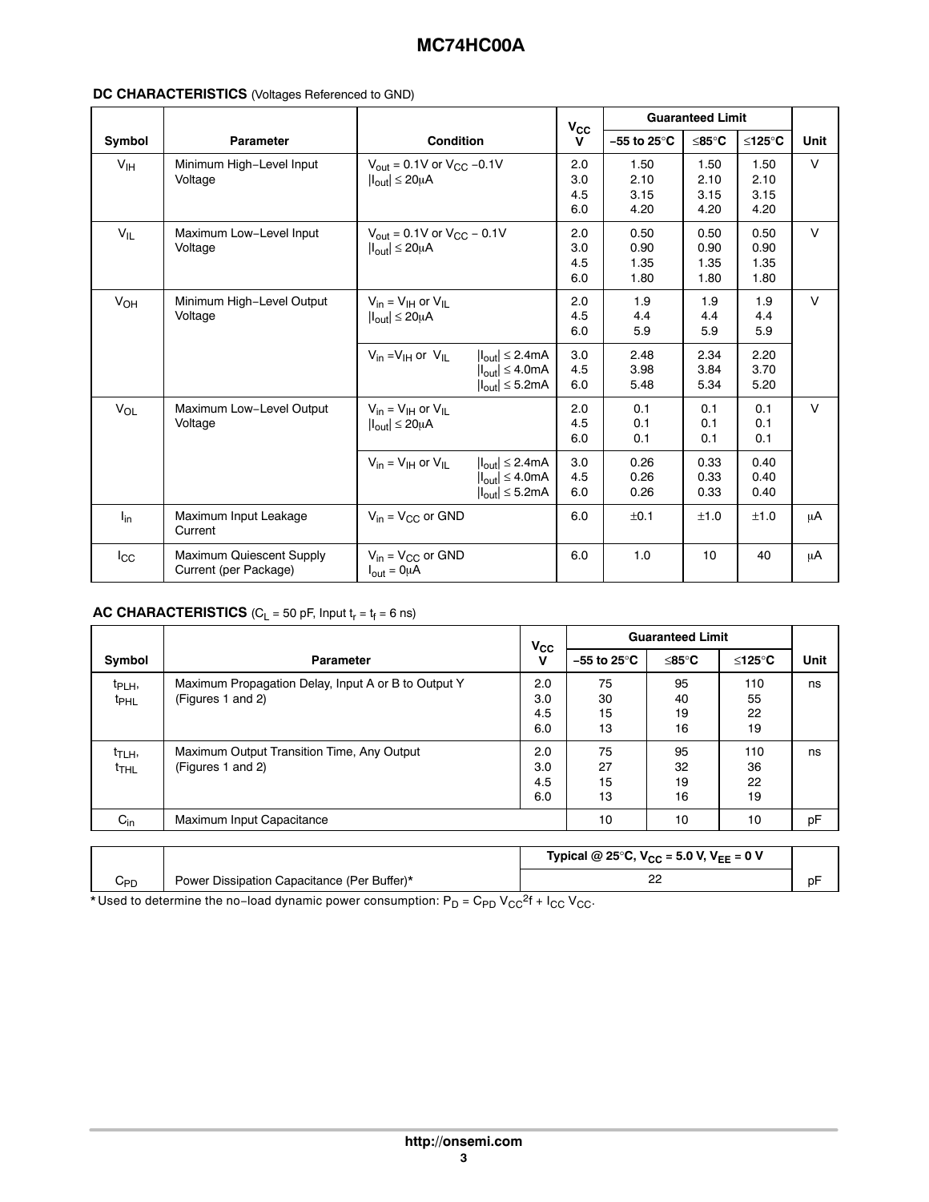#### **DC CHARACTERISTICS** (Voltages Referenced to GND)

|                 |                                                   |                                                                                         |                                                                                                                         | $V_{\rm CC}$             | <b>Guaranteed Limit</b>          |                              |                              |             |
|-----------------|---------------------------------------------------|-----------------------------------------------------------------------------------------|-------------------------------------------------------------------------------------------------------------------------|--------------------------|----------------------------------|------------------------------|------------------------------|-------------|
| Symbol          | <b>Parameter</b>                                  | <b>Condition</b>                                                                        |                                                                                                                         | $\mathbf v$              | $-55$ to 25 $\mathrm{^{\circ}C}$ | $\leq$ 85 $^{\circ}$ C       | ≤125°C                       | <b>Unit</b> |
| V <sub>IH</sub> | Minimum High-Level Input<br>Voltage               | $V_{\text{out}} = 0.1V$ or $V_{\text{CC}} -0.1V$<br>$ I_{\text{out}}  \leq 20 \mu A$    |                                                                                                                         | 2.0<br>3.0<br>4.5<br>6.0 | 1.50<br>2.10<br>3.15<br>4.20     | 1.50<br>2.10<br>3.15<br>4.20 | 1.50<br>2.10<br>3.15<br>4.20 | $\vee$      |
| $V_{IL}$        | Maximum Low-Level Input<br>Voltage                | $V_{\text{out}} = 0.1 V$ or $V_{\text{CC}} - 0.1 V$<br>$ I_{\text{out}}  \leq 20 \mu A$ |                                                                                                                         | 2.0<br>3.0<br>4.5<br>6.0 | 0.50<br>0.90<br>1.35<br>1.80     | 0.50<br>0.90<br>1.35<br>1.80 | 0.50<br>0.90<br>1.35<br>1.80 | $\vee$      |
| VOH             | Minimum High-Level Output<br>Voltage              | $V_{in} = V_{IH}$ or $V_{II}$<br>$ I_{out}  \leq 20 \mu A$                              |                                                                                                                         | 2.0<br>4.5<br>6.0        | 1.9<br>4.4<br>5.9                | 1.9<br>4.4<br>5.9            | 1.9<br>4.4<br>5.9            | $\vee$      |
|                 |                                                   | $V_{in} = V_{IH}$ or $V_{IL}$                                                           | $ I_{\text{out}}  \leq 2.4 \text{mA}$<br>$ I_{\text{out}}  \leq 4.0 \text{mA}$<br>$ I_{\text{out}}  \leq 5.2 \text{mA}$ | 3.0<br>4.5<br>6.0        | 2.48<br>3.98<br>5.48             | 2.34<br>3.84<br>5.34         | 2.20<br>3.70<br>5.20         |             |
| $V_{OL}$        | Maximum Low-Level Output<br>Voltage               | $V_{in} = V_{IH}$ or $V_{II}$<br>$ I_{\text{out}}  \leq 20 \mu A$                       |                                                                                                                         | 2.0<br>4.5<br>6.0        | 0.1<br>0.1<br>0.1                | 0.1<br>0.1<br>0.1            | 0.1<br>0.1<br>0.1            | $\vee$      |
|                 |                                                   | $V_{in} = V_{IH}$ or $V_{IL}$                                                           | $ I_{\text{out}}  \leq 2.4 \text{mA}$<br>$ I_{\text{out}}  \leq 4.0 \text{mA}$<br>$ I_{\text{out}}  \leq 5.2 \text{mA}$ | 3.0<br>4.5<br>6.0        | 0.26<br>0.26<br>0.26             | 0.33<br>0.33<br>0.33         | 0.40<br>0.40<br>0.40         |             |
| $I_{in}$        | Maximum Input Leakage<br>Current                  | $V_{in} = V_{CC}$ or GND                                                                |                                                                                                                         | 6.0                      | ±0.1                             | ±1.0                         | ±1.0                         | μA          |
| $_{\rm lcc}$    | Maximum Quiescent Supply<br>Current (per Package) | $V_{in} = V_{CC}$ or GND<br>$I_{out} = 0 \mu A$                                         |                                                                                                                         | 6.0                      | 1.0                              | 10                           | 40                           | μA          |

#### **AC CHARACTERISTICS** ( $C_L$  = 50 pF, Input  $t_r$  =  $t_f$  = 6 ns)

|                                        |                                                                          | $V_{CC}$                              | <b>Guaranteed Limit</b> |                      |                       |      |
|----------------------------------------|--------------------------------------------------------------------------|---------------------------------------|-------------------------|----------------------|-----------------------|------|
| Symbol                                 | <b>Parameter</b>                                                         | $\mathbf v$                           | –55 to 25°C             | ≤85°C                | ≤125°C                | Unit |
| t <sub>PLH</sub> ,<br><sup>t</sup> PHL | Maximum Propagation Delay, Input A or B to Output Y<br>(Figures 1 and 2) | 2.0<br>3.0 <sub>2</sub><br>4.5<br>6.0 | 75<br>30<br>15<br>13    | 95<br>40<br>19<br>16 | 110<br>55<br>22<br>19 | ns   |
| t <sub>TLH</sub> ,<br><sup>t</sup> THL | Maximum Output Transition Time, Any Output<br>(Figures 1 and 2)          | 2.0<br>3.0<br>4.5<br>6.0              | 75<br>27<br>15<br>13    | 95<br>32<br>19<br>16 | 110<br>36<br>22<br>19 | ns   |
| $C_{in}$                               | Maximum Input Capacitance                                                |                                       | 10                      | 10                   | 10                    | pF   |
|                                        |                                                                          |                                       |                         |                      |                       |      |

| n, |     |                                             | Typical @ 25°C, $V_{CC}$ = 5.0 V, $V_{EE}$ = 0 V |  |
|----|-----|---------------------------------------------|--------------------------------------------------|--|
| ے  | UPD | Power Dissipation Capacitance (Per Buffer)* |                                                  |  |

\* Used to determine the no-load dynamic power consumption: P<sub>D</sub> = C<sub>PD</sub> V<sub>CC</sub><sup>2</sup>f + I<sub>CC</sub> V<sub>CC</sub>.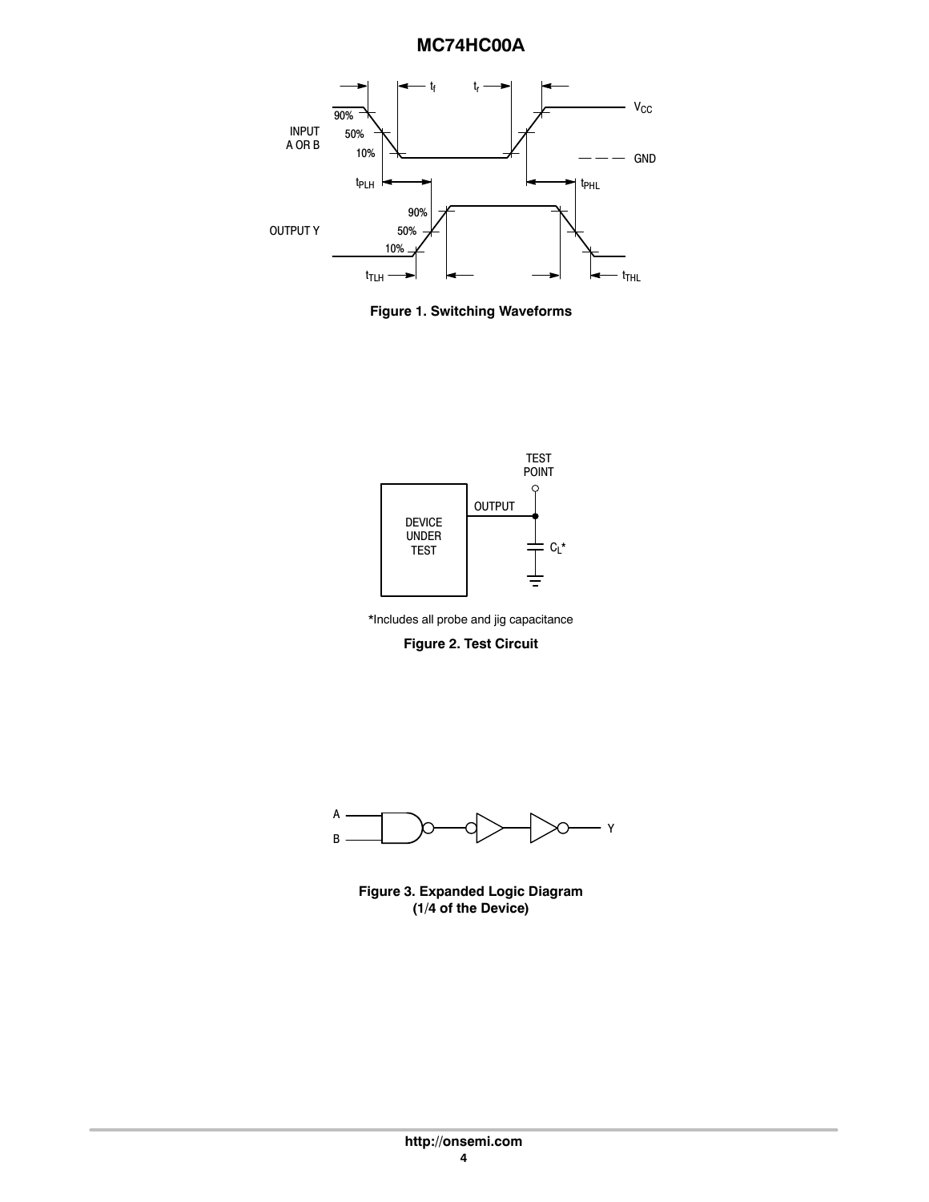

**Figure 1. Switching Waveforms**



\*Includes all probe and jig capacitance

**Figure 2. Test Circuit**



**Figure 3. Expanded Logic Diagram (1/4 of the Device)**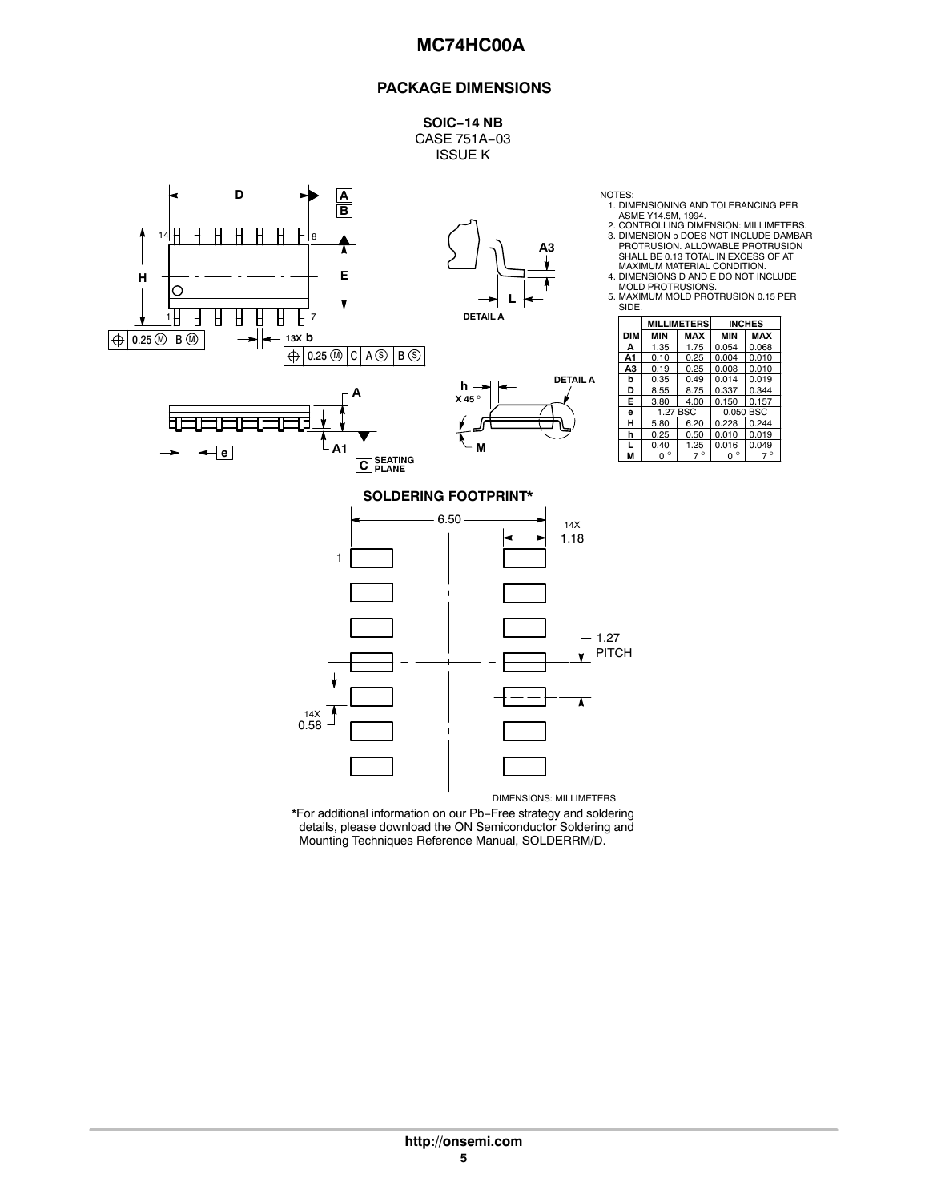#### **PACKAGE DIMENSIONS**

**SOIC−14 NB** CASE 751A−03 ISSUE K



DIMENSIONS: MILLIMETERS \*For additional information on our Pb−Free strategy and soldering details, please download the ON Semiconductor Soldering and

Mounting Techniques Reference Manual, SOLDERRM/D.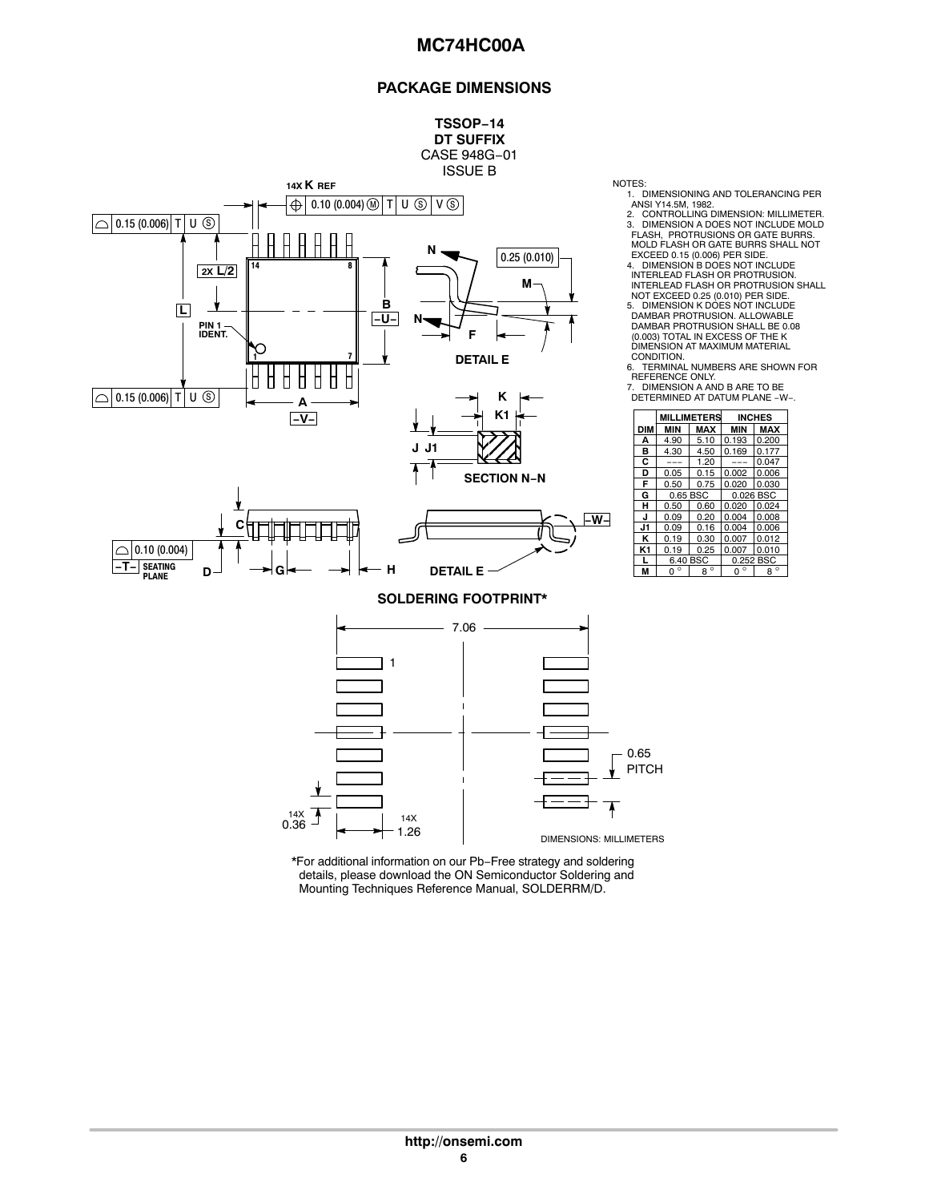#### **PACKAGE DIMENSIONS**

**MILLIMETERS INCHES**

**F** 0.50 0.75 0.020 0.030

**J** 0.09 0.20 0.004 0.008



\*For additional information on our Pb−Free strategy and soldering details, please download the ON Semiconductor Soldering and Mounting Techniques Reference Manual, SOLDERRM/D.